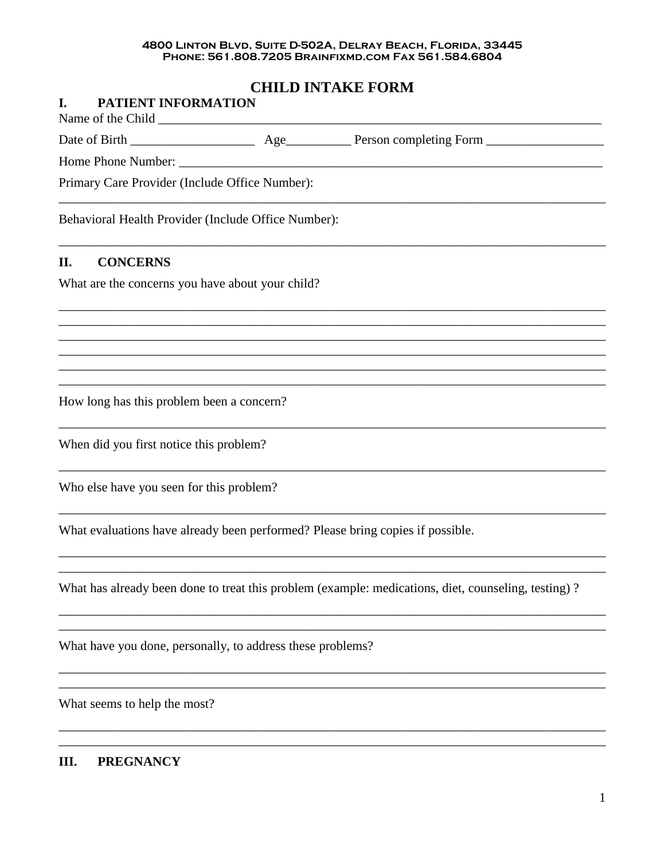# 4800 LINTON BLVD, SUITE D-502A, DELRAY BEACH, FLORIDA, 33445<br>PHONE: 561.808.7205 BRAINFIXMD.COM FAX 561.584.6804

# **CHILD INTAKE FORM**

| Behavioral Health Provider (Include Office Number):        |                                                                                                     |
|------------------------------------------------------------|-----------------------------------------------------------------------------------------------------|
|                                                            |                                                                                                     |
| What are the concerns you have about your child?           |                                                                                                     |
|                                                            |                                                                                                     |
|                                                            |                                                                                                     |
|                                                            |                                                                                                     |
| How long has this problem been a concern?                  |                                                                                                     |
| When did you first notice this problem?                    |                                                                                                     |
| Who else have you seen for this problem?                   |                                                                                                     |
|                                                            | What evaluations have already been performed? Please bring copies if possible.                      |
|                                                            | What has already been done to treat this problem (example: medications, diet, counseling, testing)? |
| What have you done, personally, to address these problems? |                                                                                                     |
|                                                            |                                                                                                     |
|                                                            | Primary Care Provider (Include Office Number):<br>What seems to help the most?                      |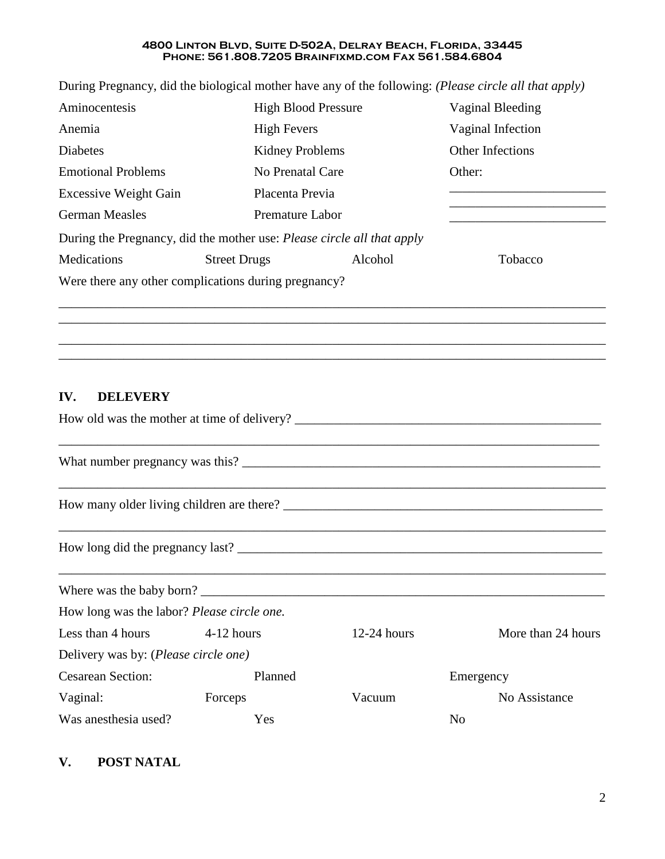During Pregnancy, did the biological mother have any of the following: *(Please circle all that apply)*

| Aminocentesis                                                                 | <b>High Blood Pressure</b> |         | Vaginal Bleeding  |
|-------------------------------------------------------------------------------|----------------------------|---------|-------------------|
| Anemia                                                                        | <b>High Fevers</b>         |         | Vaginal Infection |
| <b>Diabetes</b>                                                               | Kidney Problems            |         | Other Infections  |
| <b>Emotional Problems</b>                                                     | No Prenatal Care           |         | Other:            |
| <b>Excessive Weight Gain</b>                                                  | Placenta Previa            |         |                   |
| <b>German Measles</b>                                                         | Premature Labor            |         |                   |
| During the Pregnancy, did the mother use: <i>Please circle all that apply</i> |                            |         |                   |
| Medications                                                                   | <b>Street Drugs</b>        | Alcohol | Tobacco           |
| Were there any other complications during pregnancy?                          |                            |         |                   |

\_\_\_\_\_\_\_\_\_\_\_\_\_\_\_\_\_\_\_\_\_\_\_\_\_\_\_\_\_\_\_\_\_\_\_\_\_\_\_\_\_\_\_\_\_\_\_\_\_\_\_\_\_\_\_\_\_\_\_\_\_\_\_\_\_\_\_\_\_\_\_\_\_\_\_\_\_\_\_\_\_\_\_\_ \_\_\_\_\_\_\_\_\_\_\_\_\_\_\_\_\_\_\_\_\_\_\_\_\_\_\_\_\_\_\_\_\_\_\_\_\_\_\_\_\_\_\_\_\_\_\_\_\_\_\_\_\_\_\_\_\_\_\_\_\_\_\_\_\_\_\_\_\_\_\_\_\_\_\_\_\_\_\_\_\_\_\_\_ \_\_\_\_\_\_\_\_\_\_\_\_\_\_\_\_\_\_\_\_\_\_\_\_\_\_\_\_\_\_\_\_\_\_\_\_\_\_\_\_\_\_\_\_\_\_\_\_\_\_\_\_\_\_\_\_\_\_\_\_\_\_\_\_\_\_\_\_\_\_\_\_\_\_\_\_\_\_\_\_\_\_\_\_ \_\_\_\_\_\_\_\_\_\_\_\_\_\_\_\_\_\_\_\_\_\_\_\_\_\_\_\_\_\_\_\_\_\_\_\_\_\_\_\_\_\_\_\_\_\_\_\_\_\_\_\_\_\_\_\_\_\_\_\_\_\_\_\_\_\_\_\_\_\_\_\_\_\_\_\_\_\_\_\_\_\_\_\_

## **IV. DELEVERY**

|                                            |                          |               | How many older living children are there? |
|--------------------------------------------|--------------------------|---------------|-------------------------------------------|
|                                            |                          |               | How long did the pregnancy last?          |
|                                            | Where was the baby born? |               |                                           |
| How long was the labor? Please circle one. |                          |               |                                           |
| Less than 4 hours 4-12 hours               |                          | $12-24$ hours | More than 24 hours                        |
| Delivery was by: (Please circle one)       |                          |               |                                           |
| <b>Cesarean Section:</b>                   | Planned                  |               | Emergency                                 |
| Vaginal:                                   | Forceps                  | Vacuum        | No Assistance                             |
| Was anesthesia used?                       | Yes                      |               | N <sub>0</sub>                            |

## **V. POST NATAL**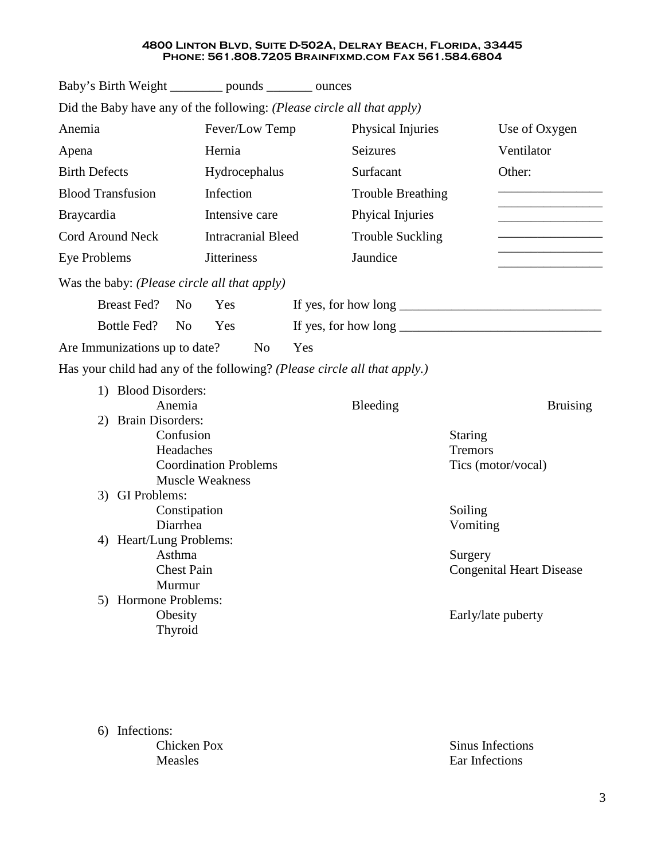| Baby's Birth Weight _________ pounds _______ ounces                      |                              |          |                          |                                                                   |  |
|--------------------------------------------------------------------------|------------------------------|----------|--------------------------|-------------------------------------------------------------------|--|
| Did the Baby have any of the following: (Please circle all that apply)   |                              |          |                          |                                                                   |  |
| Anemia<br>Fever/Low Temp                                                 |                              |          | Physical Injuries        | Use of Oxygen                                                     |  |
| Apena                                                                    | Hernia                       | Seizures |                          | Ventilator                                                        |  |
| <b>Birth Defects</b>                                                     | Hydrocephalus                |          | Surfacant                | Other:                                                            |  |
| <b>Blood Transfusion</b>                                                 | Infection                    |          | <b>Trouble Breathing</b> |                                                                   |  |
| <b>Braycardia</b>                                                        | Intensive care               |          | Phyical Injuries         |                                                                   |  |
| Cord Around Neck                                                         | <b>Intracranial Bleed</b>    |          | <b>Trouble Suckling</b>  |                                                                   |  |
| <b>Eye Problems</b>                                                      | <b>Jitteriness</b>           | Jaundice |                          |                                                                   |  |
| Was the baby: (Please circle all that apply)                             |                              |          |                          |                                                                   |  |
| <b>Breast Fed?</b><br>N <sub>0</sub>                                     | Yes                          |          |                          | If yes, for how long $\_\_\_\_\_\_\_\_\_\_\_\_\_\_\_\_\_\_\_\_\_$ |  |
| Bottle Fed?<br>N <sub>0</sub>                                            | Yes                          |          |                          | If yes, for how long $\_\_\_\_\_\_\_\_\_\_\_\_\_\_$               |  |
|                                                                          | N <sub>0</sub>               | Yes      |                          |                                                                   |  |
| Are Immunizations up to date?                                            |                              |          |                          |                                                                   |  |
| Has your child had any of the following? (Please circle all that apply.) |                              |          |                          |                                                                   |  |
| 1) Blood Disorders:<br>Anemia                                            |                              | Bleeding |                          | <b>Bruising</b>                                                   |  |
| <b>Brain Disorders:</b><br>2)                                            |                              |          |                          |                                                                   |  |
| Confusion                                                                |                              |          | <b>Staring</b>           |                                                                   |  |
| Headaches                                                                |                              |          | <b>Tremors</b>           |                                                                   |  |
|                                                                          | <b>Coordination Problems</b> |          |                          | Tics (motor/vocal)                                                |  |
|                                                                          | <b>Muscle Weakness</b>       |          |                          |                                                                   |  |
| 3) GI Problems:                                                          |                              |          |                          |                                                                   |  |
| Constipation                                                             |                              |          | Soiling                  |                                                                   |  |
| Diarrhea                                                                 |                              |          |                          | Vomiting                                                          |  |
| Heart/Lung Problems:<br>4)                                               |                              |          |                          |                                                                   |  |
| Asthma                                                                   |                              |          | Surgery                  |                                                                   |  |
| <b>Chest Pain</b>                                                        |                              |          |                          | <b>Congenital Heart Disease</b>                                   |  |
| Murmur                                                                   |                              |          |                          |                                                                   |  |
| 5) Hormone Problems:                                                     |                              |          |                          |                                                                   |  |
| Obesity                                                                  |                              |          |                          | Early/late puberty                                                |  |
| Thyroid                                                                  |                              |          |                          |                                                                   |  |
|                                                                          |                              |          |                          |                                                                   |  |

6) Infections:

Chicken Pox Measles

Sinus Infections Ear Infections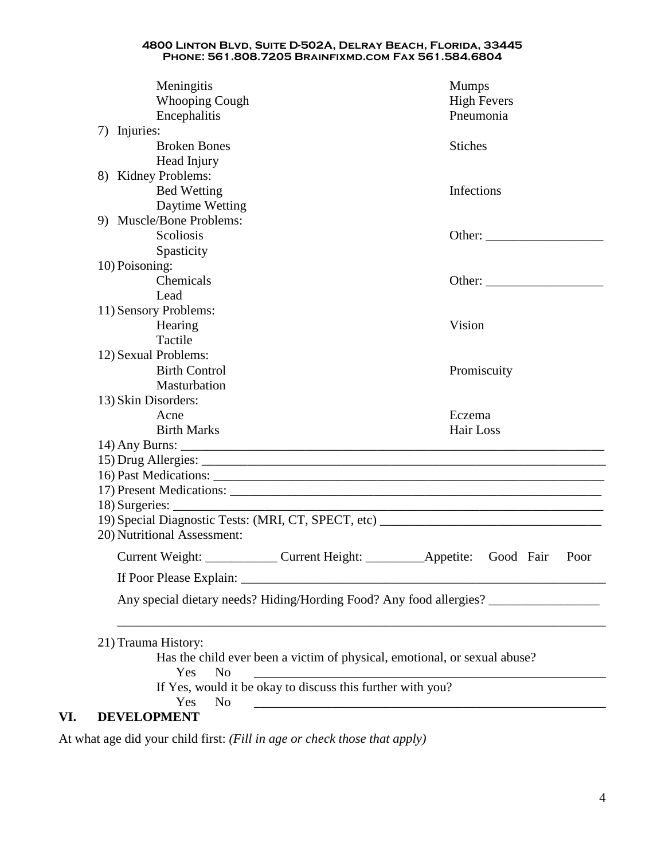| Meningitis<br>Whooping Cough<br>Encephalitis |                                                            | <b>Mumps</b><br><b>High Fevers</b><br>Pneumonia                                                                       |
|----------------------------------------------|------------------------------------------------------------|-----------------------------------------------------------------------------------------------------------------------|
| 7) Injuries:<br><b>Broken Bones</b>          |                                                            | <b>Stiches</b>                                                                                                        |
| Head Injury                                  |                                                            |                                                                                                                       |
| 8) Kidney Problems:                          |                                                            |                                                                                                                       |
| <b>Bed Wetting</b>                           |                                                            | Infections                                                                                                            |
| Daytime Wetting                              |                                                            |                                                                                                                       |
| 9) Muscle/Bone Problems:                     |                                                            |                                                                                                                       |
| Scoliosis                                    |                                                            |                                                                                                                       |
| Spasticity                                   |                                                            |                                                                                                                       |
| 10) Poisoning:                               |                                                            |                                                                                                                       |
| Chemicals                                    |                                                            |                                                                                                                       |
| Lead                                         |                                                            |                                                                                                                       |
| 11) Sensory Problems:                        |                                                            |                                                                                                                       |
| Hearing                                      |                                                            | Vision                                                                                                                |
| Tactile                                      |                                                            |                                                                                                                       |
| 12) Sexual Problems:                         |                                                            |                                                                                                                       |
| <b>Birth Control</b>                         |                                                            | Promiscuity                                                                                                           |
| Masturbation                                 |                                                            |                                                                                                                       |
| 13) Skin Disorders:                          |                                                            |                                                                                                                       |
| Acne                                         |                                                            | Eczema                                                                                                                |
| <b>Birth Marks</b>                           |                                                            | Hair Loss                                                                                                             |
|                                              |                                                            |                                                                                                                       |
|                                              |                                                            |                                                                                                                       |
|                                              |                                                            |                                                                                                                       |
|                                              |                                                            |                                                                                                                       |
|                                              |                                                            | <u> 1989 - Johann Stoff, deutscher Stoff, der Stoff, der Stoff, der Stoff, der Stoff, der Stoff, der Stoff, der S</u> |
|                                              |                                                            | 19) Special Diagnostic Tests: (MRI, CT, SPECT, etc)                                                                   |
| 20) Nutritional Assessment:                  |                                                            |                                                                                                                       |
| Current Weight:                              | Current Height:                                            | Appetite:<br>Good Fair<br>Poor                                                                                        |
| If Poor Please Explain:                      |                                                            | the contract of the contract of the contract of the contract of the contract of                                       |
|                                              |                                                            | Any special dietary needs? Hiding/Hording Food? Any food allergies?                                                   |
| 21) Trauma History:<br>Yes<br>N <sub>o</sub> |                                                            | Has the child ever been a victim of physical, emotional, or sexual abuse?                                             |
| Yes<br>N <sub>0</sub>                        | If Yes, would it be okay to discuss this further with you? |                                                                                                                       |
| <b>DEVELOPMENT</b>                           |                                                            |                                                                                                                       |

At what age did your child first: *(Fill in age or check those that apply)*

**VI.**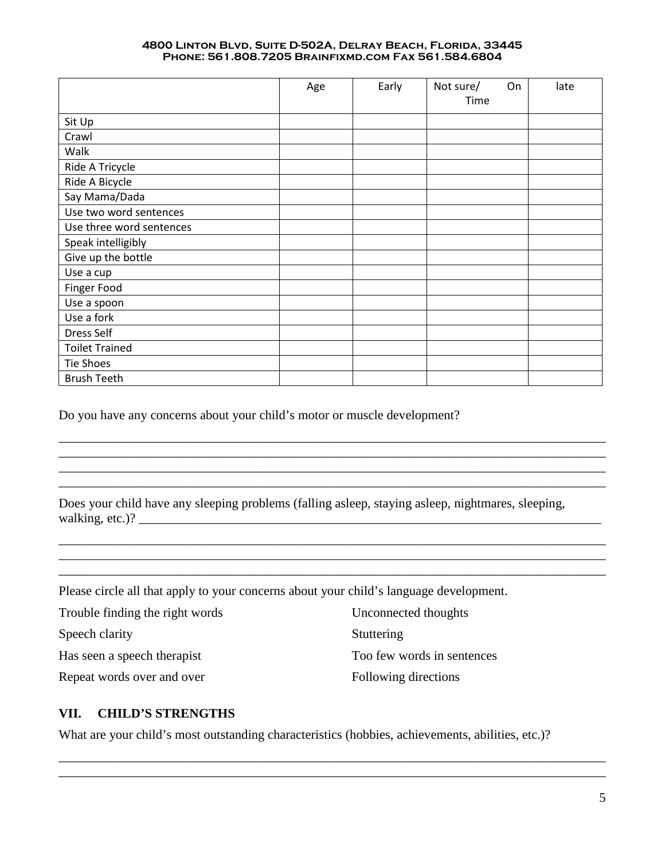|                          | Age | Early | Not sure/ | On<br>late |
|--------------------------|-----|-------|-----------|------------|
|                          |     |       | Time      |            |
| Sit Up                   |     |       |           |            |
| Crawl                    |     |       |           |            |
| Walk                     |     |       |           |            |
| Ride A Tricycle          |     |       |           |            |
| Ride A Bicycle           |     |       |           |            |
| Say Mama/Dada            |     |       |           |            |
| Use two word sentences   |     |       |           |            |
| Use three word sentences |     |       |           |            |
| Speak intelligibly       |     |       |           |            |
| Give up the bottle       |     |       |           |            |
| Use a cup                |     |       |           |            |
| Finger Food              |     |       |           |            |
| Use a spoon              |     |       |           |            |
| Use a fork               |     |       |           |            |
| Dress Self               |     |       |           |            |
| <b>Toilet Trained</b>    |     |       |           |            |
| <b>Tie Shoes</b>         |     |       |           |            |
| <b>Brush Teeth</b>       |     |       |           |            |

Do you have any concerns about your child's motor or muscle development?

Does your child have any sleeping problems (falling asleep, staying asleep, nightmares, sleeping, walking, etc.)? \_\_\_\_\_\_\_\_\_\_\_\_\_\_\_\_\_\_\_\_\_\_\_\_\_\_\_\_\_\_\_\_\_\_\_\_\_\_\_\_\_\_\_\_\_\_\_\_\_\_\_\_\_\_\_\_\_\_\_\_\_\_\_\_\_\_\_\_\_\_\_

\_\_\_\_\_\_\_\_\_\_\_\_\_\_\_\_\_\_\_\_\_\_\_\_\_\_\_\_\_\_\_\_\_\_\_\_\_\_\_\_\_\_\_\_\_\_\_\_\_\_\_\_\_\_\_\_\_\_\_\_\_\_\_\_\_\_\_\_\_\_\_\_\_\_\_\_\_\_\_\_\_\_\_\_ \_\_\_\_\_\_\_\_\_\_\_\_\_\_\_\_\_\_\_\_\_\_\_\_\_\_\_\_\_\_\_\_\_\_\_\_\_\_\_\_\_\_\_\_\_\_\_\_\_\_\_\_\_\_\_\_\_\_\_\_\_\_\_\_\_\_\_\_\_\_\_\_\_\_\_\_\_\_\_\_\_\_\_\_

\_\_\_\_\_\_\_\_\_\_\_\_\_\_\_\_\_\_\_\_\_\_\_\_\_\_\_\_\_\_\_\_\_\_\_\_\_\_\_\_\_\_\_\_\_\_\_\_\_\_\_\_\_\_\_\_\_\_\_\_\_\_\_\_\_\_\_\_\_\_\_\_\_\_\_\_\_\_\_\_\_\_\_\_

\_\_\_\_\_\_\_\_\_\_\_\_\_\_\_\_\_\_\_\_\_\_\_\_\_\_\_\_\_\_\_\_\_\_\_\_\_\_\_\_\_\_\_\_\_\_\_\_\_\_\_\_\_\_\_\_\_\_\_\_\_\_\_\_\_\_\_\_\_\_\_\_\_\_\_\_\_\_\_\_\_\_\_\_

\_\_\_\_\_\_\_\_\_\_\_\_\_\_\_\_\_\_\_\_\_\_\_\_\_\_\_\_\_\_\_\_\_\_\_\_\_\_\_\_\_\_\_\_\_\_\_\_\_\_\_\_\_\_\_\_\_\_\_\_\_\_\_\_\_\_\_\_\_\_\_\_\_\_\_\_\_\_\_\_\_\_\_\_

Please circle all that apply to your concerns about your child's language development.

| Trouble finding the right words | Unconnected thoughts       |
|---------------------------------|----------------------------|
| Speech clarity                  | Stuttering                 |
| Has seen a speech therapist     | Too few words in sentences |
| Repeat words over and over      | Following directions       |

## **VII. CHILD'S STRENGTHS**

What are your child's most outstanding characteristics (hobbies, achievements, abilities, etc.)?

\_\_\_\_\_\_\_\_\_\_\_\_\_\_\_\_\_\_\_\_\_\_\_\_\_\_\_\_\_\_\_\_\_\_\_\_\_\_\_\_\_\_\_\_\_\_\_\_\_\_\_\_\_\_\_\_\_\_\_\_\_\_\_\_\_\_\_\_\_\_\_\_\_\_\_\_\_\_\_\_\_\_\_\_ \_\_\_\_\_\_\_\_\_\_\_\_\_\_\_\_\_\_\_\_\_\_\_\_\_\_\_\_\_\_\_\_\_\_\_\_\_\_\_\_\_\_\_\_\_\_\_\_\_\_\_\_\_\_\_\_\_\_\_\_\_\_\_\_\_\_\_\_\_\_\_\_\_\_\_\_\_\_\_\_\_\_\_\_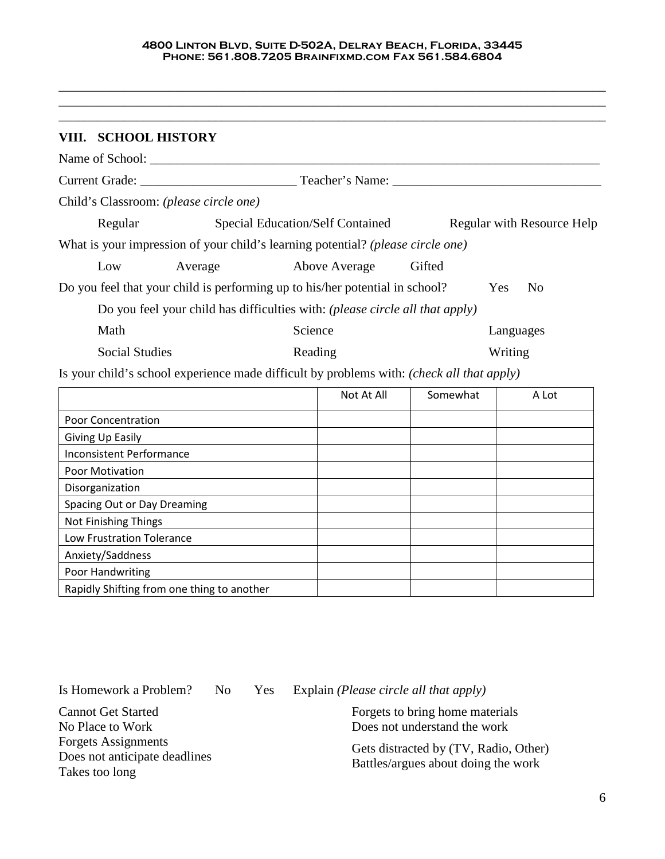\_\_\_\_\_\_\_\_\_\_\_\_\_\_\_\_\_\_\_\_\_\_\_\_\_\_\_\_\_\_\_\_\_\_\_\_\_\_\_\_\_\_\_\_\_\_\_\_\_\_\_\_\_\_\_\_\_\_\_\_\_\_\_\_\_\_\_\_\_\_\_\_\_\_\_\_\_\_\_\_\_\_\_\_

| VIII. SCHOOL HISTORY                                                                      |                                                                              |         |                                         |          |                            |  |
|-------------------------------------------------------------------------------------------|------------------------------------------------------------------------------|---------|-----------------------------------------|----------|----------------------------|--|
|                                                                                           |                                                                              |         |                                         |          |                            |  |
|                                                                                           |                                                                              |         |                                         |          |                            |  |
| Child's Classroom: (please circle one)                                                    |                                                                              |         |                                         |          |                            |  |
| Regular                                                                                   |                                                                              |         | <b>Special Education/Self Contained</b> |          | Regular with Resource Help |  |
| What is your impression of your child's learning potential? (please circle one)           |                                                                              |         |                                         |          |                            |  |
| Low                                                                                       | Average                                                                      |         | Above Average                           | Gifted   |                            |  |
| Do you feel that your child is performing up to his/her potential in school?              |                                                                              |         |                                         |          | Yes<br>N <sub>0</sub>      |  |
|                                                                                           | Do you feel your child has difficulties with: (please circle all that apply) |         |                                         |          |                            |  |
| Math                                                                                      |                                                                              | Science |                                         |          | Languages                  |  |
| <b>Social Studies</b>                                                                     |                                                                              | Reading |                                         | Writing  |                            |  |
| Is your child's school experience made difficult by problems with: (check all that apply) |                                                                              |         |                                         |          |                            |  |
|                                                                                           |                                                                              |         | Not At All                              | Somewhat | A Lot                      |  |
| <b>Poor Concentration</b>                                                                 |                                                                              |         |                                         |          |                            |  |
| Giving Up Easily                                                                          |                                                                              |         |                                         |          |                            |  |
| <b>Inconsistent Performance</b>                                                           |                                                                              |         |                                         |          |                            |  |
| <b>Poor Motivation</b>                                                                    |                                                                              |         |                                         |          |                            |  |
| Disorganization                                                                           |                                                                              |         |                                         |          |                            |  |

Spacing Out or Day Dreaming

Rapidly Shifting from one thing to another

Low Frustration Tolerance

Not Finishing Things

Anxiety/Saddness Poor Handwriting

Cannot Get Started No Place to Work Forgets Assignments Does not anticipate deadlines Takes too long

Is Homework a Problem? No Yes Explain *(Please circle all that apply)*

Forgets to bring home materials Does not understand the work

Gets distracted by (TV, Radio, Other) Battles/argues about doing the work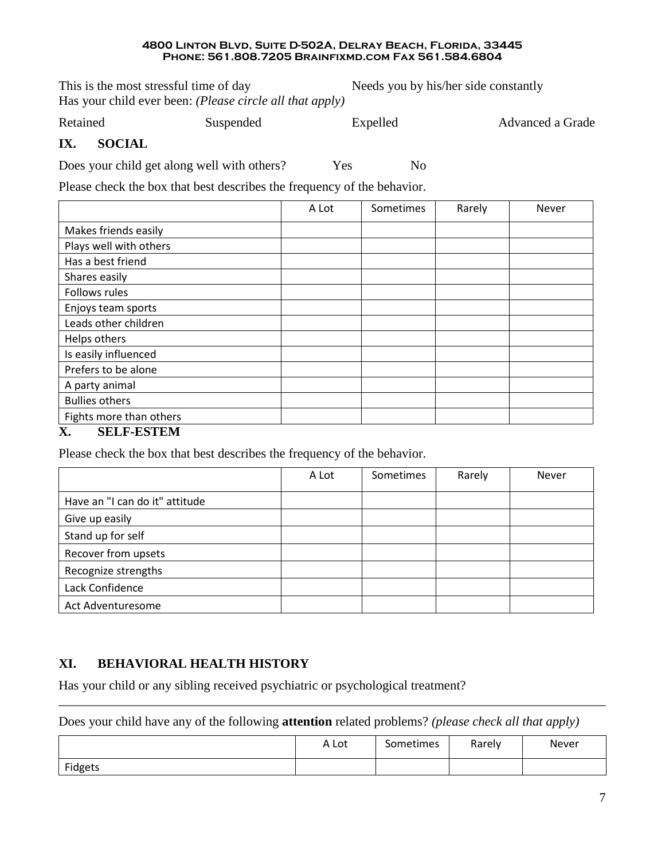This is the most stressful time of day Needs you by his/her side constantly Has your child ever been: *(Please circle all that apply)*

Retained Suspended Expelled Advanced a Grade

## **IX. SOCIAL**

Does your child get along well with others? Yes No

Please check the box that best describes the frequency of the behavior.

|                                                     | A Lot | Sometimes | Rarely | Never |
|-----------------------------------------------------|-------|-----------|--------|-------|
| Makes friends easily                                |       |           |        |       |
| Plays well with others                              |       |           |        |       |
| Has a best friend                                   |       |           |        |       |
| Shares easily                                       |       |           |        |       |
| Follows rules                                       |       |           |        |       |
| Enjoys team sports                                  |       |           |        |       |
| Leads other children                                |       |           |        |       |
| Helps others                                        |       |           |        |       |
| Is easily influenced                                |       |           |        |       |
| Prefers to be alone                                 |       |           |        |       |
| A party animal                                      |       |           |        |       |
| <b>Bullies others</b>                               |       |           |        |       |
| Fights more than others<br>$\sim$ $     \sim$ $  -$ |       |           |        |       |

## **X. SELF-ESTEM**

Please check the box that best describes the frequency of the behavior.

|                                | A Lot | Sometimes | Rarely | <b>Never</b> |
|--------------------------------|-------|-----------|--------|--------------|
| Have an "I can do it" attitude |       |           |        |              |
| Give up easily                 |       |           |        |              |
| Stand up for self              |       |           |        |              |
| Recover from upsets            |       |           |        |              |
| Recognize strengths            |       |           |        |              |
| Lack Confidence                |       |           |        |              |
| Act Adventuresome              |       |           |        |              |

# **XI. BEHAVIORAL HEALTH HISTORY**

Has your child or any sibling received psychiatric or psychological treatment?

Does your child have any of the following **attention** related problems? *(please check all that apply)*

|         | A Lot | Sometimes | Rarely | Never |
|---------|-------|-----------|--------|-------|
| Fidgets |       |           |        |       |

\_\_\_\_\_\_\_\_\_\_\_\_\_\_\_\_\_\_\_\_\_\_\_\_\_\_\_\_\_\_\_\_\_\_\_\_\_\_\_\_\_\_\_\_\_\_\_\_\_\_\_\_\_\_\_\_\_\_\_\_\_\_\_\_\_\_\_\_\_\_\_\_\_\_\_\_\_\_\_\_\_\_\_\_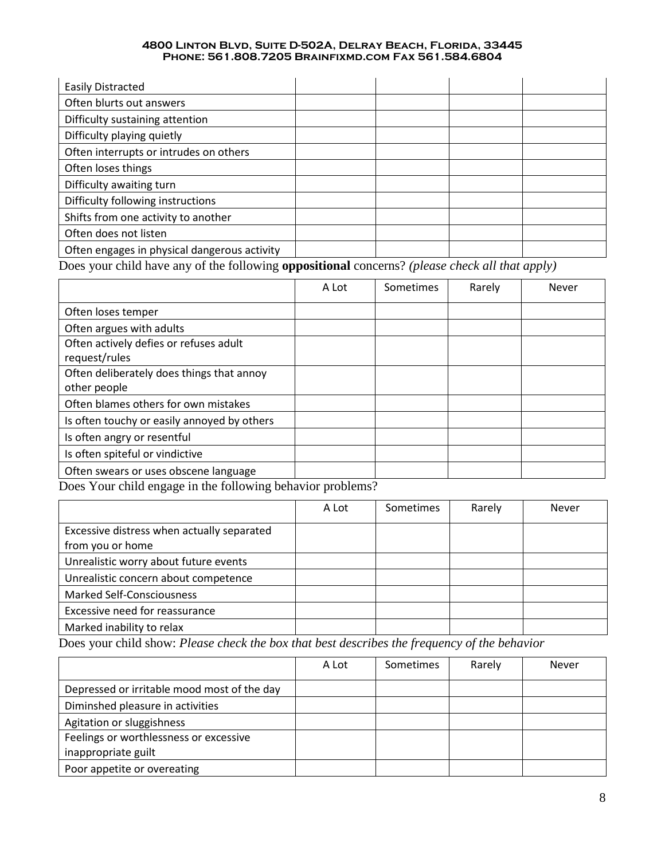| <b>Easily Distracted</b>                         |                        |                      |                                                                  |  |
|--------------------------------------------------|------------------------|----------------------|------------------------------------------------------------------|--|
| Often blurts out answers                         |                        |                      |                                                                  |  |
| Difficulty sustaining attention                  |                        |                      |                                                                  |  |
| Difficulty playing quietly                       |                        |                      |                                                                  |  |
| Often interrupts or intrudes on others           |                        |                      |                                                                  |  |
| Often loses things                               |                        |                      |                                                                  |  |
| Difficulty awaiting turn                         |                        |                      |                                                                  |  |
| Difficulty following instructions                |                        |                      |                                                                  |  |
| Shifts from one activity to another              |                        |                      |                                                                  |  |
| Often does not listen                            |                        |                      |                                                                  |  |
| Often engages in physical dangerous activity     |                        |                      |                                                                  |  |
| $\mathbf{r}$ 1911 $\mathbf{r}$ 1911 $\mathbf{r}$ | $\bullet\ ^{1}\bullet$ | $\sim$ $\sim$ $\sim$ | $\mathbf{1}$ $\mathbf{1}$ $\mathbf{1}$ $\mathbf{1}$ $\mathbf{1}$ |  |

Does your child have any of the following **oppositional** concerns? *(please check all that apply)*

|                                                            | A Lot | Sometimes | Rarely | <b>Never</b> |
|------------------------------------------------------------|-------|-----------|--------|--------------|
| Often loses temper                                         |       |           |        |              |
| Often argues with adults                                   |       |           |        |              |
| Often actively defies or refuses adult                     |       |           |        |              |
| request/rules                                              |       |           |        |              |
| Often deliberately does things that annoy                  |       |           |        |              |
| other people                                               |       |           |        |              |
| Often blames others for own mistakes                       |       |           |        |              |
| Is often touchy or easily annoyed by others                |       |           |        |              |
| Is often angry or resentful                                |       |           |        |              |
| Is often spiteful or vindictive                            |       |           |        |              |
| Often swears or uses obscene language                      |       |           |        |              |
| Doos Your shild angege in the following heberies problems? |       |           |        |              |

Does Your child engage in the following behavior problems?

|                                                                | A Lot | <b>Sometimes</b> | Rarely | Never |
|----------------------------------------------------------------|-------|------------------|--------|-------|
| Excessive distress when actually separated<br>from you or home |       |                  |        |       |
| Unrealistic worry about future events                          |       |                  |        |       |
| Unrealistic concern about competence                           |       |                  |        |       |
| <b>Marked Self-Consciousness</b>                               |       |                  |        |       |
| Excessive need for reassurance                                 |       |                  |        |       |
| Marked inability to relax                                      |       |                  |        |       |

Does your child show: *Please check the box that best describes the frequency of the behavior*

|                                             | A Lot | <b>Sometimes</b> | Rarely | Never |
|---------------------------------------------|-------|------------------|--------|-------|
| Depressed or irritable mood most of the day |       |                  |        |       |
| Diminshed pleasure in activities            |       |                  |        |       |
| Agitation or sluggishness                   |       |                  |        |       |
| Feelings or worthlessness or excessive      |       |                  |        |       |
| inappropriate guilt                         |       |                  |        |       |
| Poor appetite or overeating                 |       |                  |        |       |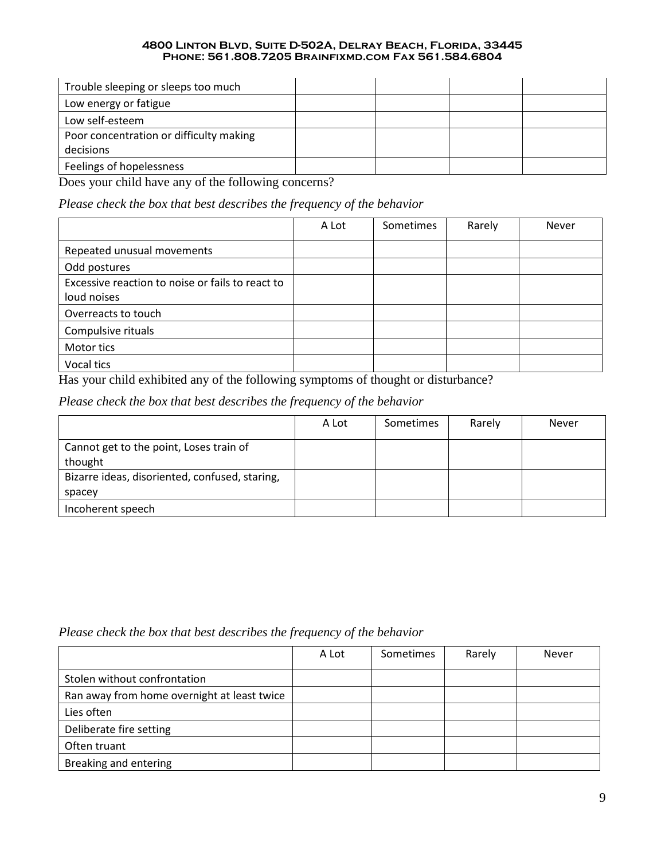| Trouble sleeping or sleeps too much     |  |  |
|-----------------------------------------|--|--|
| Low energy or fatigue                   |  |  |
| Low self-esteem                         |  |  |
| Poor concentration or difficulty making |  |  |
| decisions                               |  |  |
| Feelings of hopelessness                |  |  |

Does your child have any of the following concerns?

*Please check the box that best describes the frequency of the behavior*

|                                                  | A Lot | Sometimes | Rarely | Never |
|--------------------------------------------------|-------|-----------|--------|-------|
| Repeated unusual movements                       |       |           |        |       |
| Odd postures                                     |       |           |        |       |
| Excessive reaction to noise or fails to react to |       |           |        |       |
| loud noises                                      |       |           |        |       |
| Overreacts to touch                              |       |           |        |       |
| Compulsive rituals                               |       |           |        |       |
| Motor tics                                       |       |           |        |       |
| Vocal tics                                       |       |           |        |       |

Has your child exhibited any of the following symptoms of thought or disturbance?

*Please check the box that best describes the frequency of the behavior*

|                                                | A Lot | <b>Sometimes</b> | Rarely | Never |
|------------------------------------------------|-------|------------------|--------|-------|
| Cannot get to the point, Loses train of        |       |                  |        |       |
| thought                                        |       |                  |        |       |
| Bizarre ideas, disoriented, confused, staring, |       |                  |        |       |
| spacey                                         |       |                  |        |       |
| Incoherent speech                              |       |                  |        |       |

*Please check the box that best describes the frequency of the behavior*

|                                             | A Lot | Sometimes | Rarely | <b>Never</b> |
|---------------------------------------------|-------|-----------|--------|--------------|
| Stolen without confrontation                |       |           |        |              |
| Ran away from home overnight at least twice |       |           |        |              |
| Lies often                                  |       |           |        |              |
| Deliberate fire setting                     |       |           |        |              |
| Often truant                                |       |           |        |              |
| Breaking and entering                       |       |           |        |              |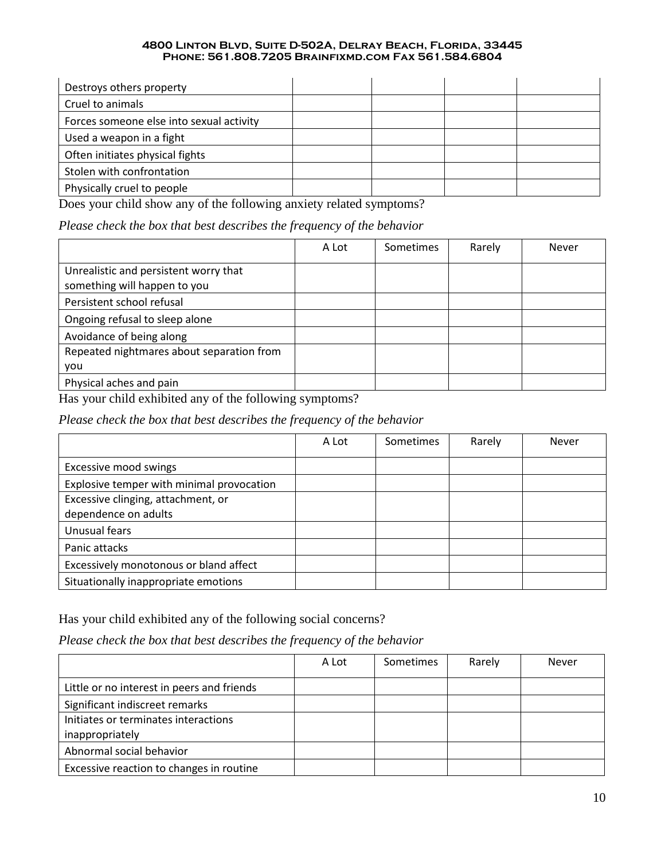| Destroys others property                 |  |  |
|------------------------------------------|--|--|
| Cruel to animals                         |  |  |
| Forces someone else into sexual activity |  |  |
| Used a weapon in a fight                 |  |  |
| Often initiates physical fights          |  |  |
| Stolen with confrontation                |  |  |
| Physically cruel to people               |  |  |

Does your child show any of the following anxiety related symptoms?

*Please check the box that best describes the frequency of the behavior*

|                                                                       | A Lot | <b>Sometimes</b> | Rarely | <b>Never</b> |
|-----------------------------------------------------------------------|-------|------------------|--------|--------------|
| Unrealistic and persistent worry that<br>something will happen to you |       |                  |        |              |
| Persistent school refusal                                             |       |                  |        |              |
| Ongoing refusal to sleep alone                                        |       |                  |        |              |
| Avoidance of being along                                              |       |                  |        |              |
| Repeated nightmares about separation from                             |       |                  |        |              |
| you                                                                   |       |                  |        |              |
| Physical aches and pain                                               |       |                  |        |              |

Has your child exhibited any of the following symptoms?

*Please check the box that best describes the frequency of the behavior*

|                                                            | A Lot | <b>Sometimes</b> | Rarely | <b>Never</b> |
|------------------------------------------------------------|-------|------------------|--------|--------------|
| Excessive mood swings                                      |       |                  |        |              |
| Explosive temper with minimal provocation                  |       |                  |        |              |
| Excessive clinging, attachment, or<br>dependence on adults |       |                  |        |              |
| Unusual fears                                              |       |                  |        |              |
| Panic attacks                                              |       |                  |        |              |
| Excessively monotonous or bland affect                     |       |                  |        |              |
| Situationally inappropriate emotions                       |       |                  |        |              |

Has your child exhibited any of the following social concerns?

*Please check the box that best describes the frequency of the behavior*

|                                                         | A Lot | Sometimes | Rarely | Never |
|---------------------------------------------------------|-------|-----------|--------|-------|
| Little or no interest in peers and friends              |       |           |        |       |
| Significant indiscreet remarks                          |       |           |        |       |
| Initiates or terminates interactions<br>inappropriately |       |           |        |       |
| Abnormal social behavior                                |       |           |        |       |
| Excessive reaction to changes in routine                |       |           |        |       |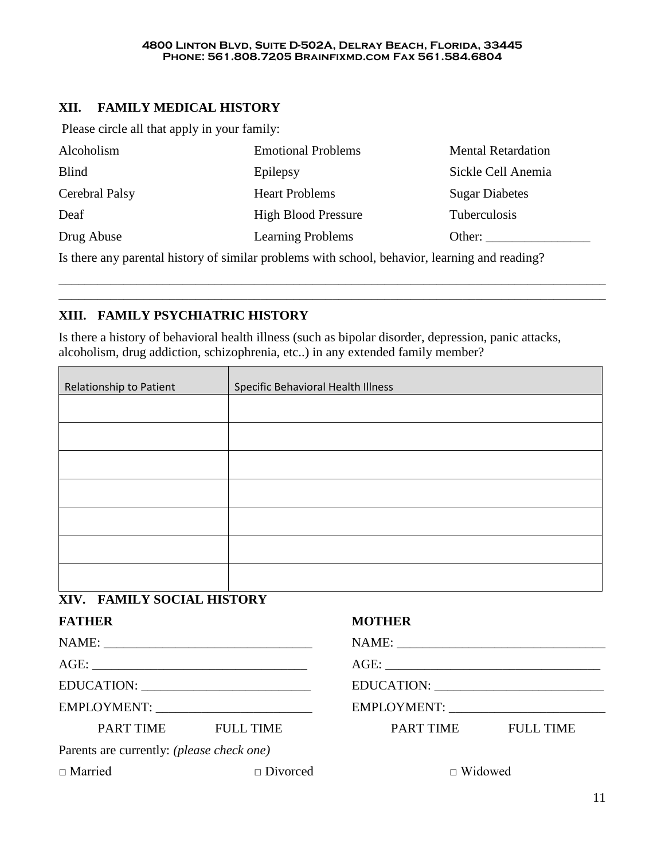## **XII. FAMILY MEDICAL HISTORY**

Please circle all that apply in your family:

| <b>Emotional Problems</b>  | <b>Mental Retardation</b> |
|----------------------------|---------------------------|
| Epilepsy                   | Sickle Cell Anemia        |
| <b>Heart Problems</b>      | <b>Sugar Diabetes</b>     |
| <b>High Blood Pressure</b> | <b>Tuberculosis</b>       |
| <b>Learning Problems</b>   | Other:                    |
|                            |                           |

\_\_\_\_\_\_\_\_\_\_\_\_\_\_\_\_\_\_\_\_\_\_\_\_\_\_\_\_\_\_\_\_\_\_\_\_\_\_\_\_\_\_\_\_\_\_\_\_\_\_\_\_\_\_\_\_\_\_\_\_\_\_\_\_\_\_\_\_\_\_\_\_\_\_\_\_\_\_\_\_\_\_\_\_ \_\_\_\_\_\_\_\_\_\_\_\_\_\_\_\_\_\_\_\_\_\_\_\_\_\_\_\_\_\_\_\_\_\_\_\_\_\_\_\_\_\_\_\_\_\_\_\_\_\_\_\_\_\_\_\_\_\_\_\_\_\_\_\_\_\_\_\_\_\_\_\_\_\_\_\_\_\_\_\_\_\_\_\_

Is there any parental history of similar problems with school, behavior, learning and reading?

## **XIII. FAMILY PSYCHIATRIC HISTORY**

Is there a history of behavioral health illness (such as bipolar disorder, depression, panic attacks, alcoholism, drug addiction, schizophrenia, etc..) in any extended family member?

| Relationship to Patient | Specific Behavioral Health Illness |  |  |  |  |
|-------------------------|------------------------------------|--|--|--|--|
|                         |                                    |  |  |  |  |
|                         |                                    |  |  |  |  |
|                         |                                    |  |  |  |  |
|                         |                                    |  |  |  |  |
|                         |                                    |  |  |  |  |
|                         |                                    |  |  |  |  |
|                         |                                    |  |  |  |  |
|                         |                                    |  |  |  |  |

# **XIV. FAMILY SOCIAL HISTORY**

| <b>FATHER</b>                                    |                 | MO         |  |  |
|--------------------------------------------------|-----------------|------------|--|--|
|                                                  |                 | <b>NAN</b> |  |  |
|                                                  |                 | <b>AGI</b> |  |  |
|                                                  |                 | <b>EDU</b> |  |  |
|                                                  |                 | <b>EMI</b> |  |  |
| PART TIME FULL TIME                              |                 |            |  |  |
| Parents are currently: <i>(please check one)</i> |                 |            |  |  |
| $\Box$ Married                                   | $\Box$ Divorced |            |  |  |

## **THER**

NAME: \_\_\_\_\_\_\_\_\_\_\_\_\_\_\_\_\_\_\_\_\_\_\_\_\_\_\_\_\_\_\_\_

AGE: \_\_\_\_\_\_\_\_\_\_\_\_\_\_\_\_\_\_\_\_\_\_\_\_\_\_\_\_\_\_\_\_\_

EDUCATION: \_\_\_\_\_\_\_\_\_\_\_\_\_\_\_\_\_\_\_\_\_\_\_\_\_\_

EMPLOYMENT: \_\_\_\_\_\_\_\_\_\_\_\_\_\_\_\_\_\_\_\_\_\_\_\_

PART TIME FULL TIME

□ Widowed